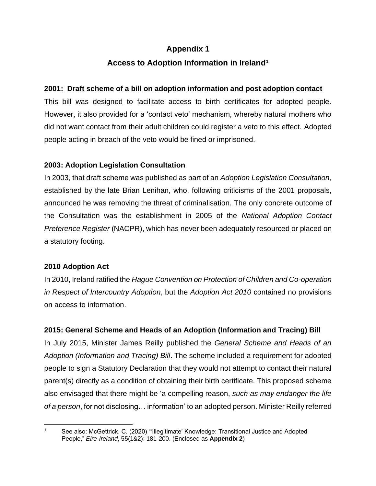# **Appendix 1**

# **Access to Adoption Information in Ireland<sup>1</sup>**

#### **2001: Draft scheme of a bill on adoption information and post adoption contact**

This bill was designed to facilitate access to birth certificates for adopted people. However, it also provided for a 'contact veto' mechanism, whereby natural mothers who did not want contact from their adult children could register a veto to this effect. Adopted people acting in breach of the veto would be fined or imprisoned.

#### **2003: Adoption Legislation Consultation**

In 2003, that draft scheme was published as part of an *Adoption Legislation Consultation*, established by the late Brian Lenihan, who, following criticisms of the 2001 proposals, announced he was removing the threat of criminalisation. The only concrete outcome of the Consultation was the establishment in 2005 of the *National Adoption Contact Preference Register* (NACPR), which has never been adequately resourced or placed on a statutory footing.

# **2010 Adoption Act**

In 2010, Ireland ratified the *Hague Convention on Protection of Children and Co-operation in Respect of Intercountry Adoption*, but the *Adoption Act 2010* contained no provisions on access to information.

# **2015: General Scheme and Heads of an Adoption (Information and Tracing) Bill**

In July 2015, Minister James Reilly published the *General Scheme and Heads of an Adoption (Information and Tracing) Bill*. The scheme included a requirement for adopted people to sign a Statutory Declaration that they would not attempt to contact their natural parent(s) directly as a condition of obtaining their birth certificate. This proposed scheme also envisaged that there might be 'a compelling reason, *such as may endanger the life of a person*, for not disclosing… information' to an adopted person. Minister Reilly referred

<sup>1</sup> See also: McGettrick, C. (2020) "'Illegitimate' Knowledge: Transitional Justice and Adopted People," *Eire-Ireland*, 55(1&2): 181-200. (Enclosed as **Appendix 2**)